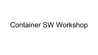# Container SW Workshop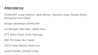#### Attendance

CERN/HEP: Lukas Heinrich, Jakob Blomer, Clemens Lange, Ricardo Rocha, Alessandra Forti (Vidyo)

Google: Abdelfettah SGHIOUAR

Uni Michigan: Bob Killen, Jeffrey Sica

NTT: Akihiro Suda, Kohei Tokunaga

IBM: Phil Estes, Nuri Twebti

CSCS: Kean Mariotti, Filipe Cruz

Jessie Frazelle, Christian Kniep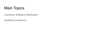

Container Software Distribution

Rootless Containers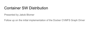#### Container SW Distribution

Presented by Jakob Blomer

Follow up on the initial implementation of the Docker CVMFS Graph Driver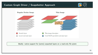#### Custom Graph Driver / Snapshotter Approach





Ideally: native support for (some) unpacked layers on a read-only file sytem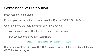#### Container SW Distribution

Presented by Jakob Blomer

Follow up on the initial implementation of the Docker CVMFS Graph Driver

Goal is to move the logic into a containerd snapshotter

As containerd looks like the best common denominator

Docker, Kubernetes with cri-containerd

<https://github.com/containerd/containerd/issues/2943>

Similar request from Google's CRFS (Container Registry Filesystem) and Filegrain (IPFS backed storage)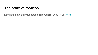#### The state of rootless

Long and detailed presentation from Akihiro, check it out [here](https://indico.cern.ch/event/788994/contributions/3307330/attachments/1846774/3030272/CERN_Rootless_Containers__Unresolved_Issues.pdf)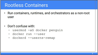### **Rootless Containers**

- . Run containers, runtimes, and orchestrators as a non-root **user**
- Don't confuse with:
	- usermod -aG docker penguin
	- docker run --user
	- dockerd --userns-remap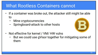#### **What Rootless Containers cannot**

- If a container was broke out, the attacker still might be able  $\bullet$ to
	- Mine cryptocurrencies
	- Springboard-attack to other hosts



- Not effective for kernel / VM/ HW vulns  $\bullet$ 
	- But we could use gVisor together for mitigating some of them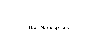## User Namespaces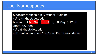#### **User Namespaces**

\$ docker-rootless run -v /:/host -it alpine / # ls -ln /host/dev/sda brw-rw---- 1 65534 65534 8, 0 May 1 12:00 /host/dev/sda / # cat /host/dev/sda cat: can't open '/host/dev/sda': Permission denied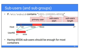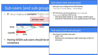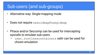#### Sub-users (and sub-groups)

- Alternative way: Single-mapping mode
- Does not require newuidmap/newgidmap  $\bullet$
- Ptrace and/or Seccomp can be used for intercepting syscalls to emulate sub-users
	- user.rootlesscontainers xattr can be used for chown emulation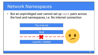But an unprivileged user cannot set up veth pairs across  $\bullet$ the host and namespaces, i.e. No internet connection

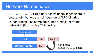- 1xc-user-nic SUID binary allows unprivileged users to create veth, but we are not huge fun of SUID binaries
- Our approach: use completely unprivileged usermode  $\bullet$ network ("Slirp") with a TAP device

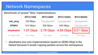#### Benchmark of several "Slirp" implementations:

|                  | $MTU=1500$ | <b>MTU=4000</b> | <b>MTU=16384</b> | <b>MTU=65520</b>      |
|------------------|------------|-----------------|------------------|-----------------------|
| vde_plug         | 763 Mbps   | Unsupported     | Unsupported      | Unsupported           |
| <b>VPNKit</b>    | 514 Mbps   | 526 Mbps        | 540 Mbps         | Unsupported           |
| slirp4netns      | 1.07 Gbps  | 2.78 Gbps       |                  | 4.55 Gbps   9.21 Gbps |
| cf. rootful veth | 52.1 Gbps  | 45.4 Gbps       | 43.6 Gbps        | 51.5 Gbps             |

slirp4netns (our own implementation based on QEMU Slirp) is the  $\bullet$ fastest because it avoids copying packets across the namespaces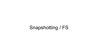## Snapshotting / FS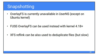#### Snapshotting

- OverlayFS is currently unavailable in UserNS (except on ٠ Ubuntu kernel)
- FUSE-OverlayFS can be used instead with kernel 4.18+  $\bullet$
- XFS reflink can be also used to deduplicate files (but slow)  $\bullet$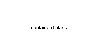## containerd plans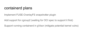#### containerd plans

Implement FUSE-OverlayFS snapshotter plugin

Add support for cgroup2 (waiting for OCI spec to support it first)

Support running containerd in gVisor (mitigate potential kernel vulns)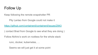#### Follow Up

Keep following the remote snapshotter PR

Pity Lantao from Google could not make it

<https://github.com/containerd/containerd/issues/2943>

( contact Brad from Google to see what they are doing )

Follow Akihiro's work on rootless for the whole stack

runc, docker, kubernetes, …

Seems we will just get it at some point